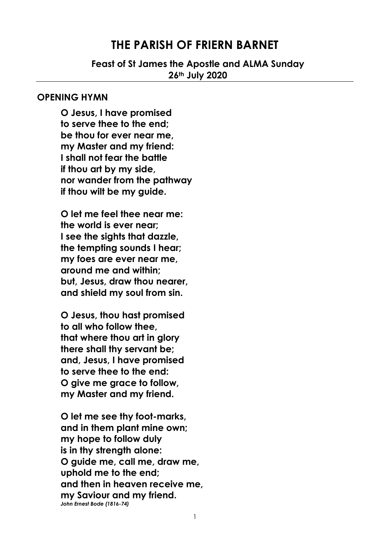## **THE PARISH OF FRIERN BARNET**

**Feast of St James the Apostle and ALMA Sunday 26th July 2020**

#### **OPENING HYMN**

**O Jesus, I have promised to serve thee to the end; be thou for ever near me, my Master and my friend: I shall not fear the battle if thou art by my side, nor wander from the pathway if thou wilt be my guide.**

**O let me feel thee near me: the world is ever near; I see the sights that dazzle, the tempting sounds I hear; my foes are ever near me, around me and within; but, Jesus, draw thou nearer, and shield my soul from sin.**

**O Jesus, thou hast promised to all who follow thee, that where thou art in glory there shall thy servant be; and, Jesus, I have promised to serve thee to the end: O give me grace to follow, my Master and my friend.**

**O let me see thy foot-marks, and in them plant mine own; my hope to follow duly is in thy strength alone: O guide me, call me, draw me, uphold me to the end; and then in heaven receive me, my Saviour and my friend.** *John Ernest Bode (1816-74)*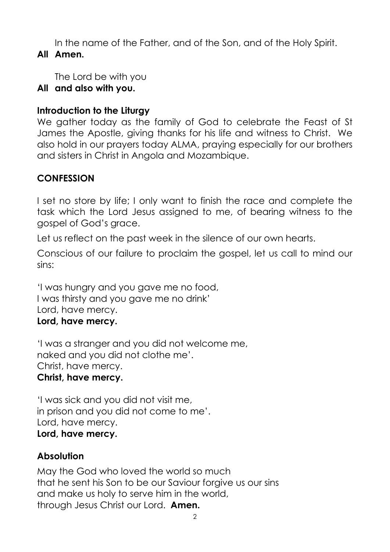In the name of the Father, and of the Son, and of the Holy Spirit. **All Amen.** 

The Lord be with you

# **All and also with you.**

# **Introduction to the Liturgy**

We gather today as the family of God to celebrate the Feast of St James the Apostle, giving thanks for his life and witness to Christ. We also hold in our prayers today ALMA, praying especially for our brothers and sisters in Christ in Angola and Mozambique.

# **CONFESSION**

I set no store by life; I only want to finish the race and complete the task which the Lord Jesus assigned to me, of bearing witness to the gospel of God's grace.

Let us reflect on the past week in the silence of our own hearts.

Conscious of our failure to proclaim the gospel, let us call to mind our sins:

'I was hungry and you gave me no food, I was thirsty and you gave me no drink' Lord, have mercy. **Lord, have mercy.**

'I was a stranger and you did not welcome me, naked and you did not clothe me'. Christ, have mercy. **Christ, have mercy.**

'I was sick and you did not visit me, in prison and you did not come to me'. Lord, have mercy. **Lord, have mercy.**

# **Absolution**

May the God who loved the world so much that he sent his Son to be our Saviour forgive us our sins and make us holy to serve him in the world, through Jesus Christ our Lord. **Amen.**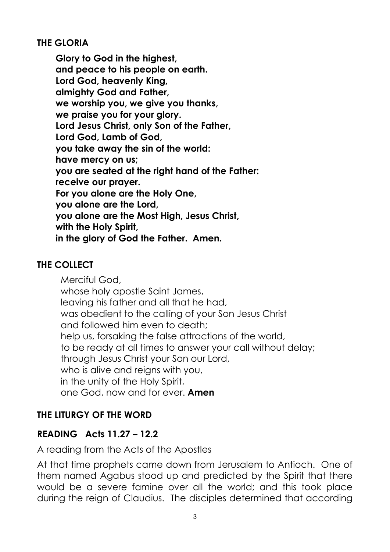## **THE GLORIA**

**Glory to God in the highest, and peace to his people on earth. Lord God, heavenly King, almighty God and Father, we worship you, we give you thanks, we praise you for your glory. Lord Jesus Christ, only Son of the Father, Lord God, Lamb of God, you take away the sin of the world: have mercy on us; you are seated at the right hand of the Father: receive our prayer. For you alone are the Holy One, you alone are the Lord, you alone are the Most High, Jesus Christ, with the Holy Spirit, in the glory of God the Father. Amen.** 

## **THE COLLECT**

Merciful God, whose holy apostle Saint James, leaving his father and all that he had, was obedient to the calling of your Son Jesus Christ and followed him even to death; help us, forsaking the false attractions of the world, to be ready at all times to answer your call without delay; through Jesus Christ your Son our Lord, who is alive and reigns with you, in the unity of the Holy Spirit, one God, now and for ever. **Amen**

## **THE LITURGY OF THE WORD**

## **READING Acts 11.27 – 12.2**

A reading from the Acts of the Apostles

At that time prophets came down from Jerusalem to Antioch. One of them named Agabus stood up and predicted by the Spirit that there would be a severe famine over all the world; and this took place during the reign of Claudius. The disciples determined that according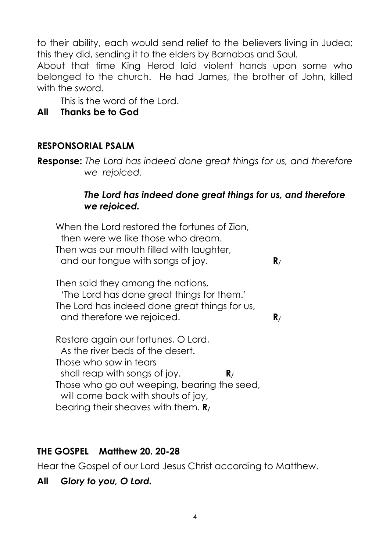to their ability, each would send relief to the believers living in Judea; this they did, sending it to the elders by Barnabas and Saul.

About that time King Herod laid violent hands upon some who belonged to the church. He had James, the brother of John, killed with the sword.

This is the word of the Lord.

## **All Thanks be to God**

## **RESPONSORIAL PSALM**

**Response:** *The Lord has indeed done great things for us, and therefore we rejoiced.*

### *The Lord has indeed done great things for us, and therefore we rejoiced.*

When the Lord restored the fortunes of Zion, then were we like those who dream. Then was our mouth filled with laughter, and our tongue with songs of joy. **R/**

Then said they among the nations, 'The Lord has done great things for them.' The Lord has indeed done great things for us, and therefore we rejoiced. **R/**

Restore again our fortunes, O Lord, As the river beds of the desert. Those who sow in tears shall reap with songs of joy. **R/** Those who go out weeping, bearing the seed, will come back with shouts of joy, bearing their sheaves with them. **R/**

# **THE GOSPEL Matthew 20. 20-28**

Hear the Gospel of our Lord Jesus Christ according to Matthew.

**All** *Glory to you, O Lord.*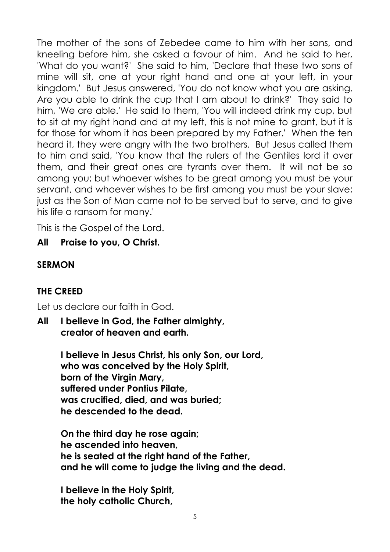The mother of the sons of Zebedee came to him with her sons, and kneeling before him, she asked a favour of him. And he said to her, 'What do you want?' She said to him, 'Declare that these two sons of mine will sit, one at your right hand and one at your left, in your kingdom.' But Jesus answered, 'You do not know what you are asking. Are you able to drink the cup that I am about to drink?' They said to him, 'We are able.' He said to them, 'You will indeed drink my cup, but to sit at my right hand and at my left, this is not mine to grant, but it is for those for whom it has been prepared by my Father.' When the ten heard it, they were angry with the two brothers. But Jesus called them to him and said, 'You know that the rulers of the Gentiles lord it over them, and their great ones are tyrants over them. It will not be so among you; but whoever wishes to be great among you must be your servant, and whoever wishes to be first among you must be your slave; just as the Son of Man came not to be served but to serve, and to give his life a ransom for many.'

This is the Gospel of the Lord.

**All Praise to you, O Christ.**

## **SERMON**

## **THE CREED**

Let us declare our faith in God.

**All I believe in God, the Father almighty, creator of heaven and earth.**

> **I believe in Jesus Christ, his only Son, our Lord, who was conceived by the Holy Spirit, born of the Virgin Mary, suffered under Pontius Pilate, was crucified, died, and was buried; he descended to the dead.**

**On the third day he rose again; he ascended into heaven, he is seated at the right hand of the Father, and he will come to judge the living and the dead.**

**I believe in the Holy Spirit, the holy catholic Church,**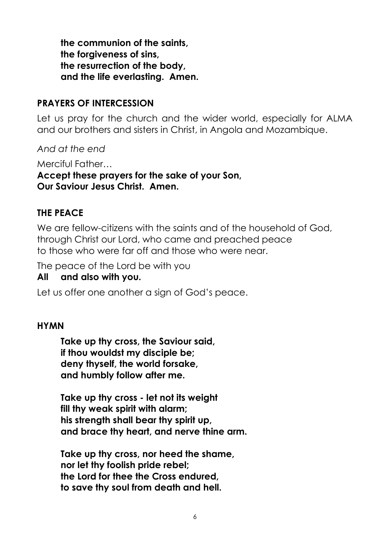**the communion of the saints, the forgiveness of sins, the resurrection of the body, and the life everlasting. Amen.**

### **PRAYERS OF INTERCESSION**

Let us pray for the church and the wider world, especially for ALMA and our brothers and sisters in Christ, in Angola and Mozambique.

*And at the end* 

Merciful Father… **Accept these prayers for the sake of your Son, Our Saviour Jesus Christ. Amen.** 

### **THE PEACE**

We are fellow-citizens with the saints and of the household of God, through Christ our Lord, who came and preached peace to those who were far off and those who were near.

The peace of the Lord be with you

### **All and also with you.**

Let us offer one another a sign of God's peace.

### **HYMN**

**Take up thy cross, the Saviour said, if thou wouldst my disciple be; deny thyself, the world forsake, and humbly follow after me.**

**Take up thy cross - let not its weight fill thy weak spirit with alarm; his strength shall bear thy spirit up, and brace thy heart, and nerve thine arm.**

**Take up thy cross, nor heed the shame, nor let thy foolish pride rebel; the Lord for thee the Cross endured, to save thy soul from death and hell.**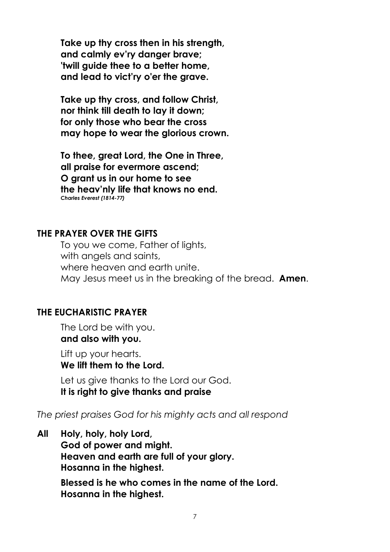**Take up thy cross then in his strength, and calmly ev'ry danger brave; 'twill guide thee to a better home, and lead to vict'ry o'er the grave.**

**Take up thy cross, and follow Christ, nor think till death to lay it down; for only those who bear the cross may hope to wear the glorious crown.**

**To thee, great Lord, the One in Three, all praise for evermore ascend; O grant us in our home to see the heav'nly life that knows no end.** *Charles Everest (1814-77)*

#### **THE PRAYER OVER THE GIFTS**

To you we come, Father of lights, with angels and saints, where heaven and earth unite. May Jesus meet us in the breaking of the bread. **Amen**.

#### **THE EUCHARISTIC PRAYER**

The Lord be with you. **and also with you.**

Lift up your hearts. **We lift them to the Lord.**

Let us give thanks to the Lord our God. **It is right to give thanks and praise**

*The priest praises God for his mighty acts and all respond*

**All Holy, holy, holy Lord, God of power and might. Heaven and earth are full of your glory. Hosanna in the highest.**

> **Blessed is he who comes in the name of the Lord. Hosanna in the highest.**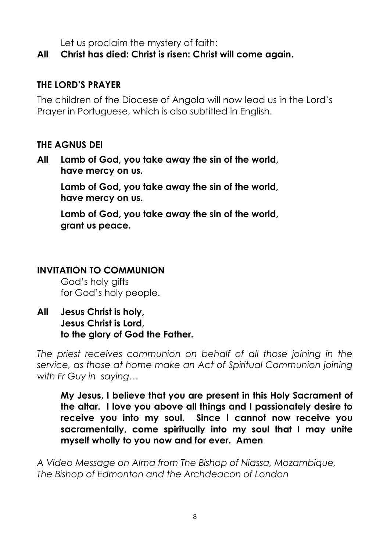Let us proclaim the mystery of faith:

## **All Christ has died: Christ is risen: Christ will come again.**

## **THE LORD'S PRAYER**

The children of the Diocese of Angola will now lead us in the Lord's Prayer in Portuguese, which is also subtitled in English.

### **THE AGNUS DEI**

**All Lamb of God, you take away the sin of the world, have mercy on us.**

**Lamb of God, you take away the sin of the world, have mercy on us.**

**Lamb of God, you take away the sin of the world, grant us peace.**

## **INVITATION TO COMMUNION**

God's holy gifts for God's holy people.

**All Jesus Christ is holy, Jesus Christ is Lord, to the glory of God the Father.** 

*The priest receives communion on behalf of all those joining in the service, as those at home make an Act of Spiritual Communion joining with Fr Guy in saying…*

**My Jesus, I believe that you are present in this Holy Sacrament of the altar. I love you above all things and I passionately desire to receive you into my soul. Since I cannot now receive you sacramentally, come spiritually into my soul that I may unite myself wholly to you now and for ever. Amen**

*A Video Message on Alma from The Bishop of Niassa, Mozambique, The Bishop of Edmonton and the Archdeacon of London*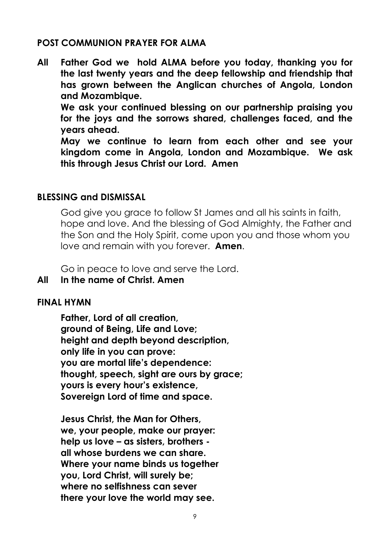### **POST COMMUNION PRAYER FOR ALMA**

**All Father God we hold ALMA before you today, thanking you for the last twenty years and the deep fellowship and friendship that has grown between the Anglican churches of Angola, London and Mozambique.**

**We ask your continued blessing on our partnership praising you for the joys and the sorrows shared, challenges faced, and the years ahead.**

**May we continue to learn from each other and see your kingdom come in Angola, London and Mozambique. We ask this through Jesus Christ our Lord. Amen**

### **BLESSING and DISMISSAL**

God give you grace to follow St James and all his saints in faith, hope and love. And the blessing of God Almighty, the Father and the Son and the Holy Spirit, come upon you and those whom you love and remain with you forever. **Amen**.

Go in peace to love and serve the Lord.

### **All In the name of Christ. Amen**

#### **FINAL HYMN**

**Father, Lord of all creation, ground of Being, Life and Love; height and depth beyond description, only life in you can prove: you are mortal life's dependence: thought, speech, sight are ours by grace; yours is every hour's existence, Sovereign Lord of time and space.**

**Jesus Christ, the Man for Others, we, your people, make our prayer: help us love – as sisters, brothers all whose burdens we can share. Where your name binds us together you, Lord Christ, will surely be; where no selfishness can sever there your love the world may see.**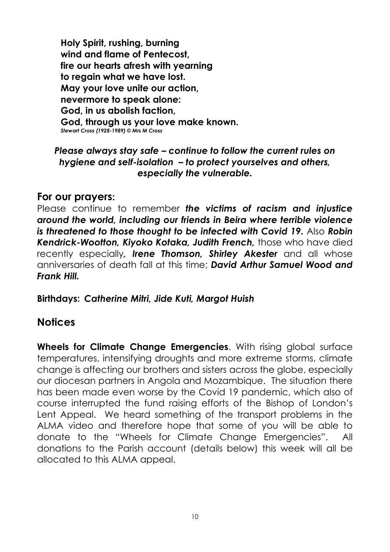**Holy Spirit, rushing, burning wind and flame of Pentecost, fire our hearts afresh with yearning to regain what we have lost. May your love unite our action, nevermore to speak alone: God, in us abolish faction, God, through us your love make known.** *Stewart Cross (1928-1989) © Mrs M Cross*

### *Please always stay safe – continue to follow the current rules on hygiene and self-isolation – to protect yourselves and others, especially the vulnerable.*

## **For our prayers:**

Please continue to remember *the victims of racism and injustice around the world, including our friends in Beira where terrible violence is threatened to those thought to be infected with Covid 19. Also Robin Kendrick-Wootton, Kiyoko Kotaka, Judith French,* those who have died recently especially*, Irene Thomson, Shirley Akester* and all whose anniversaries of death fall at this time; *David Arthur Samuel Wood and Frank Hill.*

**Birthdays:** *Catherine Mitri, Jide Kuti, Margot Huish*

# **Notices**

**Wheels for Climate Change Emergencies**. With rising global surface temperatures, intensifying droughts and more extreme storms, climate change is affecting our brothers and sisters across the globe, especially our diocesan partners in Angola and Mozambique. The situation there has been made even worse by the Covid 19 pandemic, which also of course interrupted the fund raising efforts of the Bishop of London's Lent Appeal. We heard something of the transport problems in the ALMA video and therefore hope that some of you will be able to donate to the "Wheels for Climate Change Emergencies". All donations to the Parish account (details below) this week will all be allocated to this ALMA appeal.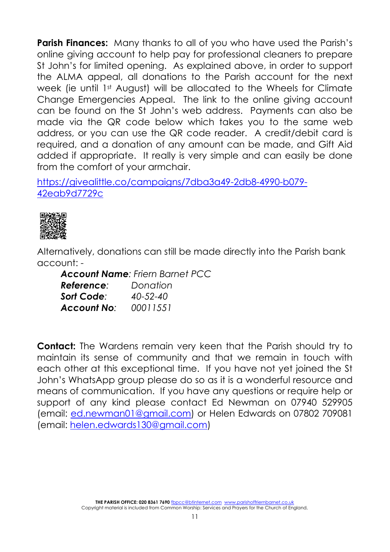**Parish Finances:** Many thanks to all of you who have used the Parish's online giving account to help pay for professional cleaners to prepare St John's for limited opening. As explained above, in order to support the ALMA appeal, all donations to the Parish account for the next week (ie until 1st August) will be allocated to the Wheels for Climate Change Emergencies Appeal. The link to the online giving account can be found on the St John's web address. Payments can also be made via the QR code below which takes you to the same web address, or you can use the QR code reader. A credit/debit card is required, and a donation of any amount can be made, and Gift Aid added if appropriate. It really is very simple and can easily be done from the comfort of your armchair.

[https://givealittle.co/campaigns/7dba3a49-2db8-4990-b079-](https://protect-eu.mimecast.com/s/VH3pCVOyrSxlEp1uG2qCc?domain=givealittle.co) [42eab9d7729c](https://protect-eu.mimecast.com/s/VH3pCVOyrSxlEp1uG2qCc?domain=givealittle.co)



Alternatively, donations can still be made directly into the Parish bank account: -

*Account Name: Friern Barnet PCC*

| Reference:         | Donation       |
|--------------------|----------------|
| Sort Code:         | $40 - 52 - 40$ |
| <b>Account No:</b> | 00011551       |

**Contact:** The Wardens remain very keen that the Parish should try to maintain its sense of community and that we remain in touch with each other at this exceptional time. If you have not yet joined the St John's WhatsApp group please do so as it is a wonderful resource and means of communication. If you have any questions or require help or support of any kind please contact Ed Newman on 07940 529905 (email: [ed.newman01@gmail.com\)](mailto:ed.newman01@gmail.com) or Helen Edwards on 07802 709081 (email: [helen.edwards130@gmail.com\)](mailto:helen.edwards130@gmail.com)